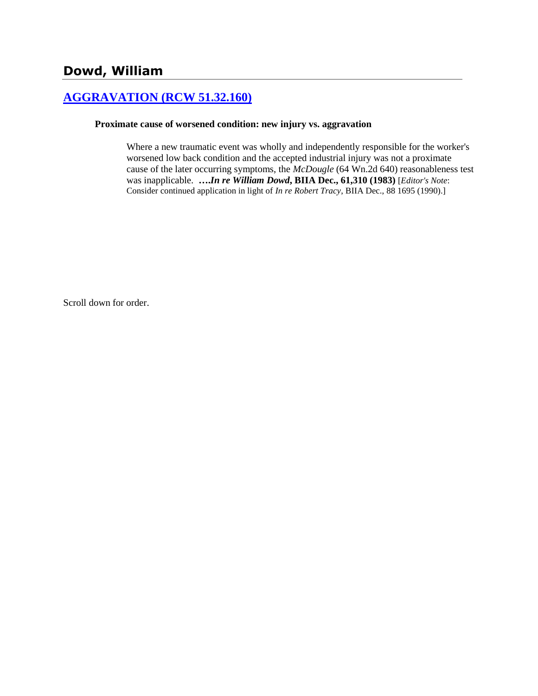# **[AGGRAVATION \(RCW 51.32.160\)](http://www.biia.wa.gov/SDSubjectIndex.html#AGGRAVATION)**

### **Proximate cause of worsened condition: new injury vs. aggravation**

Where a new traumatic event was wholly and independently responsible for the worker's worsened low back condition and the accepted industrial injury was not a proximate cause of the later occurring symptoms, the *McDougle* (64 Wn.2d 640) reasonableness test was inapplicable. **….***In re William Dowd***, BIIA Dec., 61,310 (1983)** [*Editor's Note*: Consider continued application in light of *In re Robert Tracy*, BIIA Dec., 88 1695 (1990).]

Scroll down for order.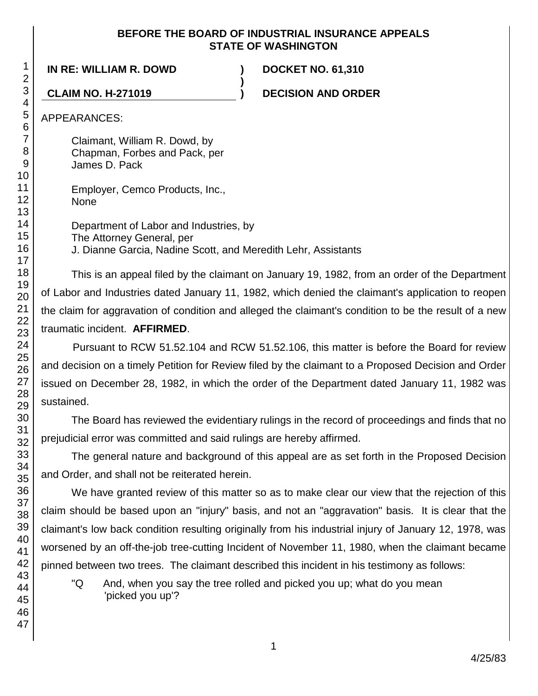### **BEFORE THE BOARD OF INDUSTRIAL INSURANCE APPEALS STATE OF WASHINGTON**

**)**

**IN RE: WILLIAM R. DOWD ) DOCKET NO. 61,310**

**CLAIM NO. H-271019 ) DECISION AND ORDER**

APPEARANCES:

Claimant, William R. Dowd, by Chapman, Forbes and Pack, per James D. Pack

Employer, Cemco Products, Inc., None

Department of Labor and Industries, by The Attorney General, per J. Dianne Garcia, Nadine Scott, and Meredith Lehr, Assistants

This is an appeal filed by the claimant on January 19, 1982, from an order of the Department of Labor and Industries dated January 11, 1982, which denied the claimant's application to reopen the claim for aggravation of condition and alleged the claimant's condition to be the result of a new traumatic incident. **AFFIRMED**.

Pursuant to RCW 51.52.104 and RCW 51.52.106, this matter is before the Board for review and decision on a timely Petition for Review filed by the claimant to a Proposed Decision and Order issued on December 28, 1982, in which the order of the Department dated January 11, 1982 was sustained.

The Board has reviewed the evidentiary rulings in the record of proceedings and finds that no prejudicial error was committed and said rulings are hereby affirmed.

The general nature and background of this appeal are as set forth in the Proposed Decision and Order, and shall not be reiterated herein.

We have granted review of this matter so as to make clear our view that the rejection of this claim should be based upon an "injury" basis, and not an "aggravation" basis. It is clear that the claimant's low back condition resulting originally from his industrial injury of January 12, 1978, was worsened by an off-the-job tree-cutting Incident of November 11, 1980, when the claimant became pinned between two trees. The claimant described this incident in his testimony as follows:

"Q And, when you say the tree rolled and picked you up; what do you mean 'picked you up'?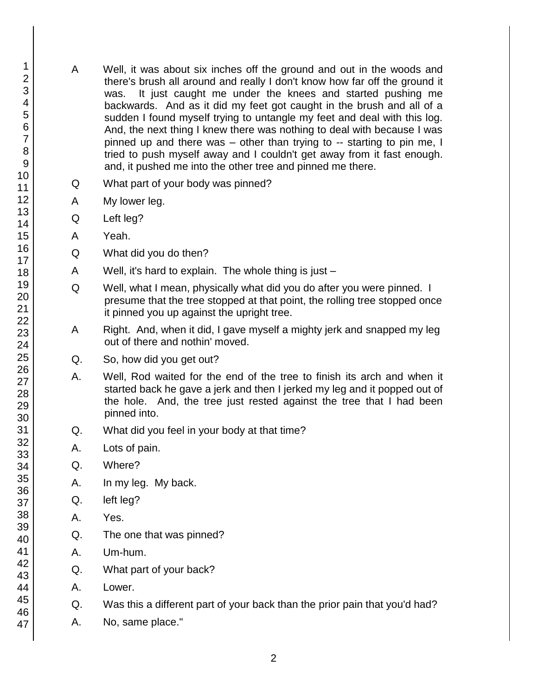- A Well, it was about six inches off the ground and out in the woods and there's brush all around and really I don't know how far off the ground it was. It just caught me under the knees and started pushing me backwards. And as it did my feet got caught in the brush and all of a sudden I found myself trying to untangle my feet and deal with this log. And, the next thing I knew there was nothing to deal with because I was pinned up and there was – other than trying to -- starting to pin me, I tried to push myself away and I couldn't get away from it fast enough. and, it pushed me into the other tree and pinned me there.
- Q What part of your body was pinned?
- A My lower leg.
- Q Left leg?
- A Yeah.
- Q What did you do then?
- A Well, it's hard to explain. The whole thing is just –
- Q Well, what I mean, physically what did you do after you were pinned. I presume that the tree stopped at that point, the rolling tree stopped once it pinned you up against the upright tree.
- A Right. And, when it did, I gave myself a mighty jerk and snapped my leg out of there and nothin' moved.
- Q. So, how did you get out?
- A. Well, Rod waited for the end of the tree to finish its arch and when it started back he gave a jerk and then I jerked my leg and it popped out of the hole. And, the tree just rested against the tree that I had been pinned into.
- Q. What did you feel in your body at that time?
- A. Lots of pain.
- Q. Where?
- A. In my leg. My back.
- Q. left leg?
- A. Yes.
- Q. The one that was pinned?
- A. Um-hum.
- Q. What part of your back?
- A. Lower.
- Q. Was this a different part of your back than the prior pain that you'd had?
- A. No, same place."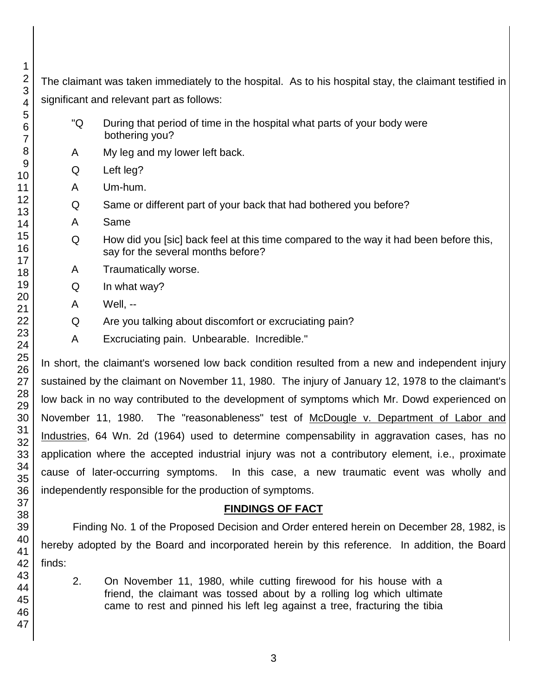The claimant was taken immediately to the hospital. As to his hospital stay, the claimant testified in significant and relevant part as follows:

- "Q During that period of time in the hospital what parts of your body were bothering you?
- A My leg and my lower left back.
- Q Left leg?
- A Um-hum.
- Q Same or different part of your back that had bothered you before?
- A Same
- Q How did you [sic] back feel at this time compared to the way it had been before this, say for the several months before?
- A Traumatically worse.
- Q In what way?
- A Well, --
- Q Are you talking about discomfort or excruciating pain?
- A Excruciating pain. Unbearable. Incredible."

In short, the claimant's worsened low back condition resulted from a new and independent injury sustained by the claimant on November 11, 1980. The injury of January 12, 1978 to the claimant's low back in no way contributed to the development of symptoms which Mr. Dowd experienced on November 11, 1980. The "reasonableness" test of McDougle v. Department of Labor and Industries, 64 Wn. 2d (1964) used to determine compensability in aggravation cases, has no application where the accepted industrial injury was not a contributory element, i.e., proximate cause of later-occurring symptoms. In this case, a new traumatic event was wholly and independently responsible for the production of symptoms.

## **FINDINGS OF FACT**

Finding No. 1 of the Proposed Decision and Order entered herein on December 28, 1982, is hereby adopted by the Board and incorporated herein by this reference. In addition, the Board finds:

2. On November 11, 1980, while cutting firewood for his house with a friend, the claimant was tossed about by a rolling log which ultimate came to rest and pinned his left leg against a tree, fracturing the tibia